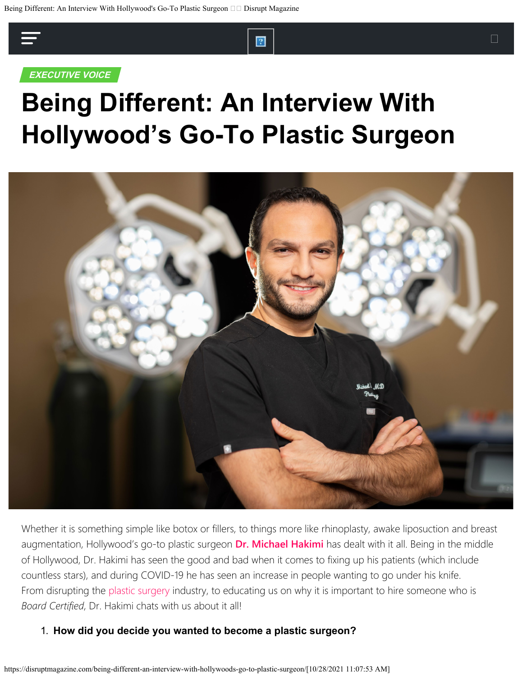

# **Being Different: An Interview With Hollywood's Go-To Plastic Surgeon**



Whether it is something simple like botox or fillers, to things more like rhinoplasty, awake liposuction and breast augmentation, Hollywood's go-to plastic surgeon **[Dr. Michael Hakimi](https://www.instagram.com/drhakimi/)** has dealt with it all. Being in the middle of Hollywood, Dr. Hakimi has seen the good and bad when it comes to fixing up his patients (which include countless stars), and during COVID-19 he has seen an increase in people wanting to go under his knife. From disrupting the [plastic surgery](https://disruptmagazine.com/plastic-surgeon-mohammed-hussain-alqahtani-shares-5-popular-trends-in-plastic-surgery/) industry, to educating us on why it is important to hire someone who is *Board Certified*, Dr. Hakimi chats with us about it all!

#### 1. **How did you decide you wanted to become a plastic surgeon?**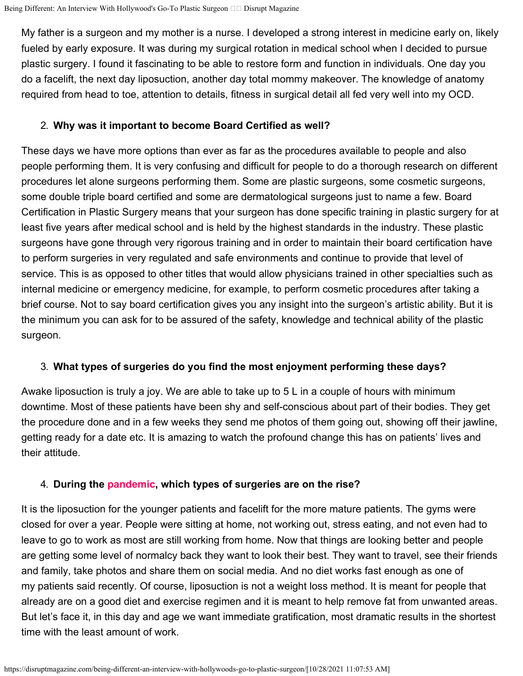My father is a surgeon and my mother is a nurse. I developed a strong interest in medicine early on, likely fueled by early exposure. It was during my surgical rotation in medical school when I decided to pursue SHARE TWEET plastic surgery. I found it fascinating to be able to restore form and function in individuals. One day you do a facelift, the next day liposuction, another day total mommy makeover. The knowledge of anatomy required from head to toe, attention to details, fitness in surgical detail all fed very well into my OCD.

#### 2. **Why was it important to become Board Certified as well?**

These days we have more options than ever as far as the procedures available to people and also people performing them. It is very confusing and difficult for people to do a thorough research on different procedures let alone surgeons performing them. Some are plastic surgeons, some cosmetic surgeons, some double triple board certified and some are dermatological surgeons just to name a few. Board Certification in Plastic Surgery means that your surgeon has done specific training in plastic surgery for at least five years after medical school and is held by the highest standards in the industry. These plastic surgeons have gone through very rigorous training and in order to maintain their board certification have to perform surgeries in very regulated and safe environments and continue to provide that level of service. This is as opposed to other titles that would allow physicians trained in other specialties such as internal medicine or emergency medicine, for example, to perform cosmetic procedures after taking a brief course. Not to say board certification gives you any insight into the surgeon's artistic ability. But it is the minimum you can ask for to be assured of the safety, knowledge and technical ability of the plastic surgeon.

# 3. **What types of surgeries do you find the most enjoyment performing these days?**

Awake liposuction is truly a joy. We are able to take up to 5 L in a couple of hours with minimum downtime. Most of these patients have been shy and self-conscious about part of their bodies. They get the procedure done and in a few weeks they send me photos of them going out, showing off their jawline, getting ready for a date etc. It is amazing to watch the profound change this has on patients' lives and their attitude.

# 4. **During the [pandemic,](https://disruptmagazine.com/how-one-doctor-is-seeing-a-new-disruption-in-cosmetic-surgery-during-the-pandemic/) which types of surgeries are on the rise?**

It is the liposuction for the younger patients and facelift for the more mature patients. The gyms were closed for over a year. People were sitting at home, not working out, stress eating, and not even had to leave to go to work as most are still working from home. Now that things are looking better and people are getting some level of normalcy back they want to look their best. They want to travel, see their friends and family, take photos and share them on social media. And no diet works fast enough as one of my patients said recently. Of course, liposuction is not a weight loss method. It is meant for people that already are on a good diet and exercise regimen and it is meant to help remove fat from unwanted areas. But let's face it, in this day and age we want immediate gratification, most dramatic results in the shortest time with the least amount of work.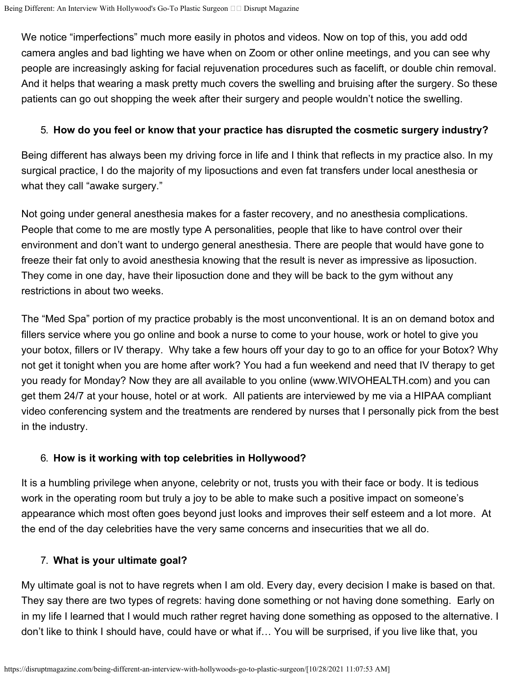We notice "imperfections" much more easily in photos and videos. Now on top of this, you add odd camera angles and bad lighting we have when on Zoom or other online meetings, and you can see why people are increasingly asking for facial rejuvenation procedures such as facelift, or double chin removal. And it helps that wearing a mask pretty much covers the swelling and bruising after the surgery. So these patients can go out shopping the week after their surgery and people wouldn't notice the swelling.

#### 5. **How do you feel or know that your practice has disrupted the cosmetic surgery industry?**

Being different has always been my driving force in life and I think that reflects in my practice also. In my surgical practice, I do the majority of my liposuctions and even fat transfers under local anesthesia or what they call "awake surgery."

Not going under general anesthesia makes for a faster recovery, and no anesthesia complications. People that come to me are mostly type A personalities, people that like to have control over their environment and don't want to undergo general anesthesia. There are people that would have gone to freeze their fat only to avoid anesthesia knowing that the result is never as impressive as liposuction. They come in one day, have their liposuction done and they will be back to the gym without any restrictions in about two weeks.

The "Med Spa" portion of my practice probably is the most unconventional. It is an on demand botox and fillers service where you go online and book a nurse to come to your house, work or hotel to give you your botox, fillers or IV therapy. Why take a few hours off your day to go to an office for your Botox? Why not get it tonight when you are home after work? You had a fun weekend and need that IV therapy to get you ready for Monday? Now they are all available to you online [\(www.WIVOHEALTH.com](http://www.wivohealth.com/)) and you can get them 24/7 at your house, hotel or at work. All patients are interviewed by me via a HIPAA compliant video conferencing system and the treatments are rendered by nurses that I personally pick from the best in the industry.

## 6. **How is it working with top celebrities in Hollywood?**

It is a humbling privilege when anyone, celebrity or not, trusts you with their face or body. It is tedious work in the operating room but truly a joy to be able to make such a positive impact on someone's appearance which most often goes beyond just looks and improves their self esteem and a lot more. At the end of the day celebrities have the very same concerns and insecurities that we all do.

#### 7. **What is your ultimate goal?**

My ultimate goal is not to have regrets when I am old. Every day, every decision I make is based on that. They say there are two types of regrets: having done something or not having done something. Early on in my life I learned that I would much rather regret having done something as opposed to the alternative. I don't like to think I should have, could have or what if… You will be surprised, if you live like that, you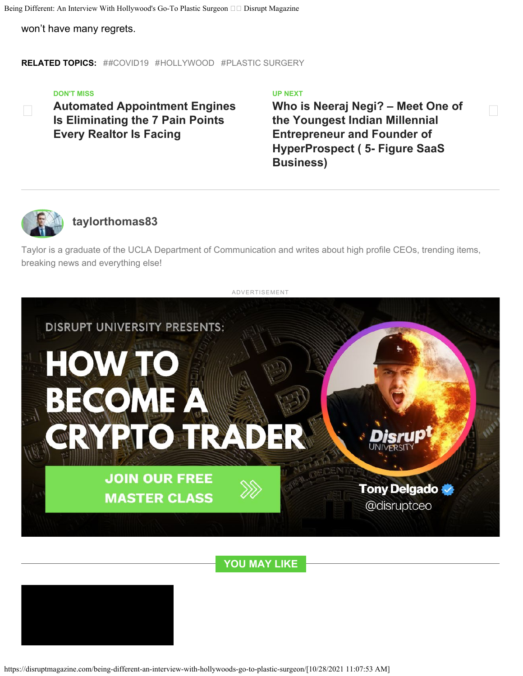Being Different: An Interview With Hollywood's Go-To Plastic Surgeon  $\Box$  Disrupt Magazine

won't have many regrets.

**RELATED TOPICS:** #[#COVID19](https://disruptmagazine.com/topic/covid19/) #[HOLLYWOOD](https://disruptmagazine.com/topic/hollywood/) #[PLASTIC SURGERY](https://disruptmagazine.com/topic/plastic-surgery/)

#### **[DON'T MISS](https://disruptmagazine.com/automated-appointment-engines-is-eliminating-the-7-pain-points-every-realtor-is-facing/)**

 **[Automated Appointment Engines](https://disruptmagazine.com/automated-appointment-engines-is-eliminating-the-7-pain-points-every-realtor-is-facing/) [Is Eliminating the 7 Pain Points](https://disruptmagazine.com/automated-appointment-engines-is-eliminating-the-7-pain-points-every-realtor-is-facing/) [Every Realtor Is Facing](https://disruptmagazine.com/automated-appointment-engines-is-eliminating-the-7-pain-points-every-realtor-is-facing/)**

#### **[UP NEXT](https://disruptmagazine.com/who-is-neeraj-negi-meet-one-of-the-youngest-indian-millennial-entrepreneur-and-founder-of-hyperprospect-5-figure-saas-business/)**

**[Who is Neeraj Negi? – Meet One of](https://disruptmagazine.com/who-is-neeraj-negi-meet-one-of-the-youngest-indian-millennial-entrepreneur-and-founder-of-hyperprospect-5-figure-saas-business/) [the Youngest Indian Millennial](https://disruptmagazine.com/who-is-neeraj-negi-meet-one-of-the-youngest-indian-millennial-entrepreneur-and-founder-of-hyperprospect-5-figure-saas-business/) [Entrepreneur and Founder of](https://disruptmagazine.com/who-is-neeraj-negi-meet-one-of-the-youngest-indian-millennial-entrepreneur-and-founder-of-hyperprospect-5-figure-saas-business/) [HyperProspect \( 5- Figure SaaS](https://disruptmagazine.com/who-is-neeraj-negi-meet-one-of-the-youngest-indian-millennial-entrepreneur-and-founder-of-hyperprospect-5-figure-saas-business/) [Business\)](https://disruptmagazine.com/who-is-neeraj-negi-meet-one-of-the-youngest-indian-millennial-entrepreneur-and-founder-of-hyperprospect-5-figure-saas-business/)**



# **[taylorthomas83](https://disruptmagazine.com/author/taylorthomas83/)**

Taylor is a graduate of the UCLA Department of Communication and writes about high profile CEOs, trending items, breaking news and everything else!



**YOU MAY LIKE**



https://disruptmagazine.com/being-different-an-interview-with-hollywoods-go-to-plastic-surgeon/[10/28/2021 11:07:53 AM]